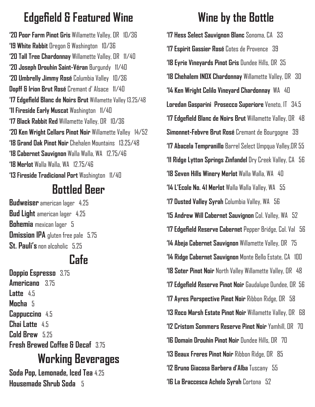## **Edgefield & Featured Wine**

**'20 Poor Farm Pinot Gris** Willamette Valley, OR 10/36 **'19 White Rabbit** Oregon & Washington 10/36 **'20 Tall Tree Chardonnay** Willamette Valley, OR 11/40 **'20 Joseph Drouhin Saint-Véran** Burgundy 11/40 **'20 Umbrelly Jimmy Rosé** Columbia Valley 10/36 **Dopff & Irion Brut Rosé** Cremant d' Alsace 11/40 **'17 Edgefield Blanc de Noirs Brut** Willamette Valley 13.25/48 **'11 Fireside Early Muscat** Washington 11/40 **'17 Black Rabbit Red** Willamette Valley, OR 10/36 **'20 Ken Wright Cellars Pinot Noir** Willamette Valley 14/52 **'18 Grand Oak Pinot Noir** Chehalen Mountains 13.25/48 **'18 Cabernet Sauvignon** Walla Walla, WA 12.75/46 **'18 Merlot** Walla Walla, WA 12.75/46 **'13 Fireside Tradicional Port** Washington 11/40

### **Bottled Beer**

**Budweiser** american lager 4.25 **Bud Light** american lager 4.25 **Bohemia** mexican lager 5 **Omission IPA** gluten free pale 5.75 **St. Pauli's** non alcoholic 5.25

### **Cafe**

**Doppio Espresso** 3.75 **Americano** 3.75 **Latte** 4.5 **Mocha** 5 **Cappuccino** 4.5 **Chai Latte** 4.5 **Cold Brew** 5.25 **Fresh Brewed Coffee & Decaf** 3.75

### **Working Beverages**

**Soda Pop, Lemonade, Iced Tea** 4.25 **Housemade Shrub Soda** 5

## **Wine by the Bottle**

**'17 Hess Select Sauvignon Blanc** Sonoma, CA 33 **'17 Espirit Gassier Rosé** Cotes de Provence 39 **'18 Eyrie Vineyards Pinot Gris** Dundee Hills, OR 35 **'18 Chehalem INOX Chardonnay** Willamette Valley, OR 30 **'14 Ken Wright Celilo Vineyard Chardonnay** WA 40 **Loredan Gasparini Prosecco Superiore** Veneto, IT 34.5 **'17 Edgefield Blanc de Noirs Brut** Willamette Valley, OR 48 **Simonnet-Febvre Brut Rosé** Cremant de Bourgogne 39 **'17 Abacela Tempranillo** Barrel Select Umpqua Valley,OR 55 **'11 Ridge Lytton Springs Zinfandel** Dry Creek Valley, CA 56 **'18 Seven Hills Winery Merlot** Walla Walla, WA 40 **'14 L'Ecole No. 41 Merlot** Walla Walla Valley, WA 55 **'17 Dusted Valley Syrah** Columbia Valley, WA 56 **'15 Andrew Will Cabernet Sauvignon** Col. Valley, WA 52 **'17 Edgefield Reserve Cabernet** Pepper Bridge, Col. Val 56 **'14 Abeja Cabernet Sauvignon** Willamette Valley, OR 75 **'14 Ridge Cabernet Sauvignon** Monte Bello Estate, CA 100 **'18 Soter Pinot Noir** North Valley Willamette Valley, OR 48 **'17 Edgefield Reserve Pinot Noir** Gaudalupe Dundee, OR 56 **'17 Ayres Perspective Pinot Noir** Ribbon Ridge, OR 58 **'13 Roco Marsh Estate Pinot Noir** Willamette Valley, OR 68 **'12 Cristom Sommers Reserve Pinot Noir** Yamhill, OR 70 **'16 Domain Drouhin Pinot Noir** Dundee Hills, OR 70 **'13 Beaux Freres Pinot Noir** Ribbon Ridge, OR 85 **'12 Bruno Giacosa Barbera d'Alba** Tuscany 55 **'16 La Braccesca Achelo Syrah** Cortona 52